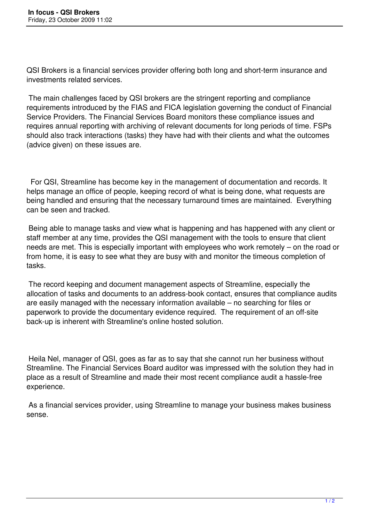QSI Brokers is a financial services provider offering both long and short-term insurance and investments related services.

 The main challenges faced by QSI brokers are the stringent reporting and compliance requirements introduced by the FIAS and FICA legislation governing the conduct of Financial Service Providers. The Financial Services Board monitors these compliance issues and requires annual reporting with archiving of relevant documents for long periods of time. FSPs should also track interactions (tasks) they have had with their clients and what the outcomes (advice given) on these issues are.

 For QSI, Streamline has become key in the management of documentation and records. It helps manage an office of people, keeping record of what is being done, what requests are being handled and ensuring that the necessary turnaround times are maintained. Everything can be seen and tracked.

 Being able to manage tasks and view what is happening and has happened with any client or staff member at any time, provides the QSI management with the tools to ensure that client needs are met. This is especially important with employees who work remotely – on the road or from home, it is easy to see what they are busy with and monitor the timeous completion of tasks.

 The record keeping and document management aspects of Streamline, especially the allocation of tasks and documents to an address-book contact, ensures that compliance audits are easily managed with the necessary information available – no searching for files or paperwork to provide the documentary evidence required. The requirement of an off-site back-up is inherent with Streamline's online hosted solution.

 Heila Nel, manager of QSI, goes as far as to say that she cannot run her business without Streamline. The Financial Services Board auditor was impressed with the solution they had in place as a result of Streamline and made their most recent compliance audit a hassle-free experience.

 As a financial services provider, using Streamline to manage your business makes business sense.